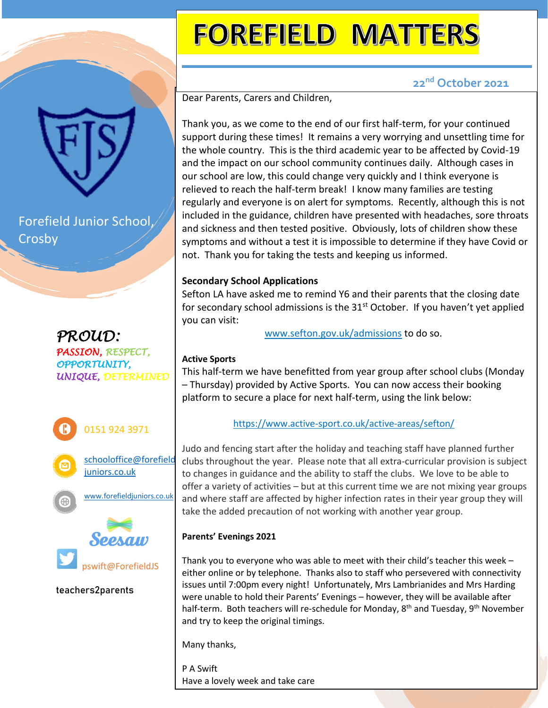# **FOREFIELD MATTERS**

### **22nd October 2021**

Dear Parents, Carers and Children,

Thank you, as we come to the end of our first half-term, for your continued support during these times! It remains a very worrying and unsettling time for the whole country. This is the third academic year to be affected by Covid-19 and the impact on our school community continues daily. Although cases in our school are low, this could change very quickly and I think everyone is relieved to reach the half-term break! I know many families are testing regularly and everyone is on alert for symptoms. Recently, although this is not included in the guidance, children have presented with headaches, sore throats and sickness and then tested positive. Obviously, lots of children show these symptoms and without a test it is impossible to determine if they have Covid or not. Thank you for taking the tests and keeping us informed.

#### **Secondary School Applications**

Sefton LA have asked me to remind Y6 and their parents that the closing date for secondary school admissions is the 31<sup>st</sup> October. If you haven't yet applied you can visit:

[www.sefton.gov.uk/admissions](http://www.sefton.gov.uk/admissions) to do so.

### **Active Sports**

This half-term we have benefitted from year group after school clubs (Monday – Thursday) provided by Active Sports. You can now access their booking platform to secure a place for next half-term, using the link below:

#### <https://www.active-sport.co.uk/active-areas/sefton/>

Judo and fencing start after the holiday and teaching staff have planned further clubs throughout the year. Please note that all extra-curricular provision is subject to changes in guidance and the ability to staff the clubs. We love to be able to offer a variety of activities – but at this current time we are not mixing year groups and where staff are affected by higher infection rates in their year group they will take the added precaution of not working with another year group.

#### **Parents' Evenings 2021**

Thank you to everyone who was able to meet with their child's teacher this week – either online or by telephone. Thanks also to staff who persevered with connectivity issues until 7:00pm every night! Unfortunately, Mrs Lambrianides and Mrs Harding were unable to hold their Parents' Evenings – however, they will be available after half-term. Both teachers will re-schedule for Monday, 8<sup>th</sup> and Tuesday, 9<sup>th</sup> November and try to keep the original timings.

Many thanks,

P A Swift Have a lovely week and take care

*PROUD: PASSION, RESPECT, OPPORTUNITY,* 

*UNIQUE, DETERMINED*

Forefield Junior School,

Crosby







**teachers2parents**